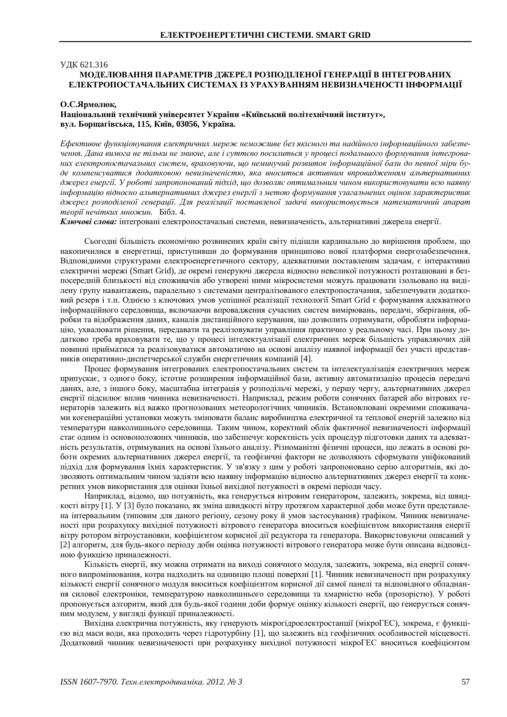### **УЛК 621.316**

# МОЛЕЛЮВАННЯ ПАРАМЕТРІВ ЛЖЕРЕЛ РОЗПОЛІЛЕНОЇ ГЕНЕРАШЇ В ІНТЕГРОВАНИХ **ЕЛЕКТРОПОСТАЧАЛЬНИХ СИСТЕМАХ ІЗ УРАХУВАННЯМ НЕВИЗНАЧЕНОСТІ ІНФОРМАШЇ**

### О.С.Ярмолюк,

## Національний технічний університет України «Київський політехнічний інститут», **вул.** Борщагівська, 115, Київ, 03056, Україна.

Ефективне функціонування електричних мереж неможливе без якісного та надійного інформаційного забезпечення. Дана вимога не тільки не зникне, але і суттєво посилиться у процесі подальшого формування інтегрованих електропостачальних систем, враховуючи, що неминучий розвиток інформаційної бази до певної міри буде компенсуватися додатковою невизначеністю, яка вноситься активним впровадженням альтернативних джерел енергії. У роботі запропонований підхід, що дозволяє оптимальним чином використовувати всю наявну iнформацiю вiдносно альтернативних джерел енергiї з метою формування узагальнених оцінок характеристик джерел розподіленої генерації. Для реалізації поставленої задачі використовується математичний апарат *теорії нечітких множин. Бібл. 4.* 

Ключові слова: інтегровані електропостачальні системи, невизначеність, альтернативні джерела енергії.

Сьогодні більшість економічно розвинених країн світу підішли кардинально до вирішення проблем, що накопичилися в енергетиці, приступивши до формування принципово нової платформи енергозабезпечення. Відповідними структурами електроенергетичного сектору, адекватними поставленим задачам, є інтерактивні електричні мережі (Smart Grid), де окремі генеруючі джерела відносно невеликої потужності розташовані в безпосередній близькості від споживачів або утворені ними мікросистеми можуть працювати ізольовано на виділену групу навантажень, паралельно з системами централізованого електропостачання, забезпечувати додатковий резерв і т.п. Однією з ключових умов успішної реалізації технології Smart Grid є формування адекватного інформаційного середовища, включаючи впровадження сучасних систем вимірювань, передачі, зберігання, обробки та відображення даних, каналів дистанційного керування, що дозволить отримувати, обробляти інформацію, ухвалювати рішення, передавати та реалізовувати управління практично у реальному часі. При цьому додатково треба враховувати те, що у процесі інтелектуалізації електричних мереж більшість управляючих дій повинні прийматися та реалізовуватися автоматично на основі аналізу наявної інформації без участі представників оперативно-диспетчерської служби енергетичних компаній [4].

Процес формування інтегрованих електропостачальних систем та інтелектуалізація електричних мереж припускає, з одного боку, істотне розширення інформаційної бази, активну автоматизацію процесів передачі даних, але, з іншого боку, масштабна інтеграція у розподільчі мережі, у першу чергу, альтернативних джерел енергії підсилює вплив чинника невизначеності. Наприклад, режим роботи сонячних батарей або вітрових генераторів залежить від важко прогнозованих метеорологічних чинників. Встановлювані окремими споживачами когенераційні установки можуть змінювати баланс виробництва електричної та теплової енергій залежно від температури навколишнього середовища. Таким чином, коректний облік фактичної невизначеності інформації стає одним із основоположних чинників, що забезпечує коректність усіх процедур підготовки даних та адекватність результатів, отримуваних на основі їхнього аналізу. Різноманітні фізичні процеси, що лежать в основі роботи окремих альтернативних джерел енергії, та геофізичні фактори не дозволяють сформувати уніфікований підхід для формування їхніх характеристик. У зв'язку з цим у роботі запропоновано серію алгоритмів, які дозволяють оптимальним чином задіяти всю наявну інформацію відносно альтернативних джерел енергії та конкретних умов використання для оцінки їхньої вихідної потужності в окремі періоди часу.

Наприклад, відомо, що потужність, яка генерується вітровим генератором, залежить, зокрема, від швидкості вітру [1]. У [3] було показано, як зміна швидкості вітру протягом характерної доби може бути представлена інтервальним (типовим для даного регіону, сезону року й умов застосування) графіком. Чинник невизначеності при розрахунку вихідної потужності вітрового генератора вноситься коефіцієнтом використання енергії вітру ротором вітроустановки, коефіцієнтом корисної дії редуктора та генератора. Використовуючи описаний у [2] алгоритм, для будь-якого періоду доби оцінка потужності вітрового генератора може бути описана відповідною функцією приналежності.

Кількість енергії, яку можна отримати на виході сонячного модуля, залежить, зокрема, від енергії сонячного випромінювання, котра надходить на одиницю площі поверхні [1]. Чинник невизначеності при розрахунку кількості енергії сонячного модуля вноситься коефіцієнтом корисної дії самої панелі та відповідного обладнання силової електроніки, температурою навколишнього середовища та хмарністю неба (прозорістю). У роботі пропонується алгоритм, який для будь-якої години доби формує оцінку кількості енергії, що генерується сонячним молулем, у виглялі функції приналежності.

Вихідна електрична потужність, яку генерують мікрогідроелектростанції (мікроГЕС), зокрема, є функцією від маси води, яка проходить через гідротурбіну [1], що залежить від геофізичних особливостей місцевості. Додатковий чинник невизначеності при розрахунку вихідної потужності мікроГЕС вноситься коефіцієнтом